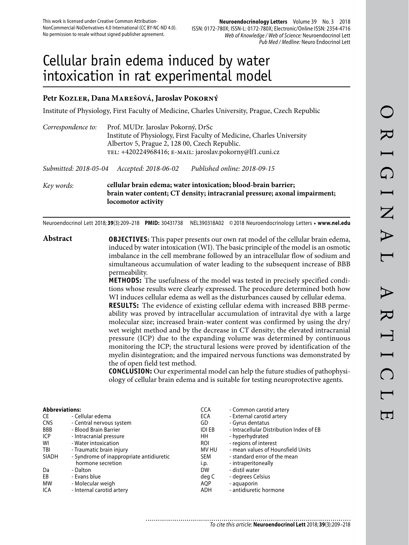# Cellular brain edema induced by water intoxication in rat experimental model

# **Petr Kozler, Dana Marešová, Jaroslav Pokorný**

Institute of Physiology, First Faculty of Medicine, Charles University, Prague, Czech Republic

| Correspondence to:    | Prof. MUDr. Jaroslav Pokorný, DrSc<br>Albertov 5, Prague 2, 128 00, Czech Republic.<br>TEL: +420224968416; E-MAIL: jaroslav.pokorny@lf1.cuni.cz | Institute of Physiology, First Faculty of Medicine, Charles University                                                                       |
|-----------------------|-------------------------------------------------------------------------------------------------------------------------------------------------|----------------------------------------------------------------------------------------------------------------------------------------------|
| Submitted: 2018-05-04 | Accepted: 2018-06-02                                                                                                                            | Published online: 2018-09-15                                                                                                                 |
| Key words:            | locomotor activity                                                                                                                              | cellular brain edema; water intoxication; blood-brain barrier;<br>brain water content; CT density; intracranial pressure; axonal impairment; |

Neuroendocrinol Lett 2018; **39**(3):209–218 **PMID:** 30431738 NEL390318A02 © 2018 Neuroendocrinology Letters • **www.nel.edu**

**Abstract OBJECTIVES:** This paper presents our own rat model of the cellular brain edema, induced by water intoxication (WI). The basic principle of the model is an osmotic imbalance in the cell membrane followed by an intracellular flow of sodium and simultaneous accumulation of water leading to the subsequent increase of BBB permeability.

**METHODS:** The usefulness of the model was tested in precisely specified conditions whose results were clearly expressed. The procedure determined both how WI induces cellular edema as well as the disturbances caused by cellular edema.

**RESULTS:** The evidence of existing cellular edema with increased BBB permeability was proved by intracellular accumulation of intravital dye with a large molecular size; increased brain-water content was confirmed by using the dry/ wet weight method and by the decrease in CT density; the elevated intracranial pressure (ICP) due to the expanding volume was determined by continuous monitoring the ICP; the structural lesions were proved by identification of the myelin disintegration; and the impaired nervous functions was demonstrated by the of open field test method.

**CONCLUSION:** Our experimental model can help the future studies of pathophysiology of cellular brain edema and is suitable for testing neuroprotective agents.

| <b>Abbreviations:</b> |                                          | <b>CCA</b>    | - Common carotid artery                  |
|-----------------------|------------------------------------------|---------------|------------------------------------------|
| CE                    | - Cellular edema                         | ECA           | - External carotid artery                |
| <b>CNS</b>            | - Central nervous system                 | GD            | - Gyrus dentatus                         |
| BBB                   | - Blood Brain Barrier                    | <b>IDI EB</b> | - Intracellular Distribution Index of EB |
| ICP                   | - Intracranial pressure                  | HH            | - hyperhydrated                          |
| WI                    | - Water intoxication                     | <b>ROI</b>    | - regions of interest                    |
| TBI                   | - Traumatic brain injury                 | MV HU         | - mean values of Hounsfield Units        |
| <b>SIADH</b>          | - Syndrome of inappropriate antidiuretic | <b>SEM</b>    | - standard error of the mean             |
|                       | hormone secretion                        | i.p.          | - intraperitoneally                      |
| Da                    | - Dalton                                 | <b>DW</b>     | - distil water                           |
| EB                    | - Evans blue                             | deg C         | - degrees Celsius                        |
| <b>MW</b>             | - Molecular weigh                        | AQP           | - aquaporin                              |
| ICA                   | - Internal carotid artery                | ADH           | - antidiuretic hormone                   |

............................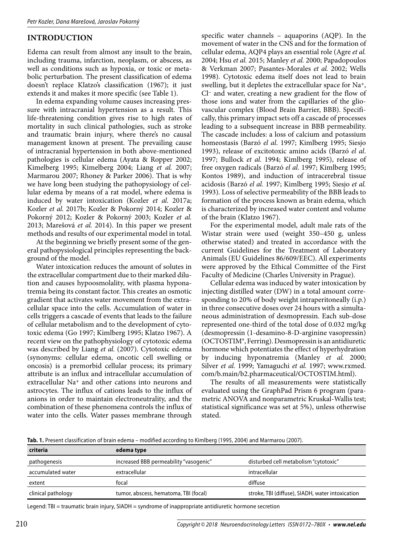## **INTRODUCTION**

Edema can result from almost any insult to the brain, including trauma, infarction, neoplasm, or abscess, as well as conditions such as hypoxia, or toxic or metabolic perturbation. The present classification of edema doesn't replace Klatzo's classification (1967); it just extends it and makes it more specific (see Table 1).

In edema expanding volume causes increasing pressure with intracranial hypertension as a result. This life-threatening condition gives rise to high rates of mortality in such clinical pathologies, such as stroke and traumatic brain injury, where there's no causal management known at present. The prevailing cause of intracranial hypertension in both above-mentioned pathologies is cellular edema (Ayata & Ropper 2002; Kimelberg 1995; Kimelberg 2004; Liang *et al.* 2007; Marmarou 2007; Rhoney & Parker 2006). That is why we have long been studying the pathopysiology of cellular edema by means of a rat model, where edema is induced by water intoxication (Kozler *et al.* 2017a; Kozler *et al.* 2017b; Kozler & Pokorný 2014; Kozler & Pokorný 2012; Kozler & Pokorný 2003; Kozler *et al.*  2013; Marešová *et al.* 2014). In this paper we present methods and results of our experimental model in total.

At the beginning we briefly present some of the general pathopysiological principles representing the background of the model.

Water intoxication reduces the amount of solutes in the extracellular compartment due to their marked dilution and causes hypoosmolality, with plasma hyponatremia being its constant factor. This creates an osmotic gradient that activates water movement from the extracellular space into the cells. Accumulation of water in cells triggers a cascade of events that leads to the failure of cellular metabolism and to the development of cytotoxic edema (Go 1997; Kimlberg 1995; Klatzo 1967). A recent view on the pathophysiology of cytotoxic edema was described by Liang *et al.* (2007). Cytotoxic edema (synonyms: cellular edema, oncotic cell swelling or oncosis) is a premorbid cellular process; its primary attribute is an influx and intracellular accumulation of extracellular Na+ and other cations into neurons and astrocytes. The influx of cations leads to the influx of anions in order to maintain electroneutrality, and the combination of these phenomena controls the influx of water into the cells. Water passes membrane through

specific water channels – aquaporins (AQP). In the movement of water in the CNS and for the formation of cellular edema, AQP4 plays an essential role (Agre *et al.*  2004; Hsu *et al.* 2015; Manley *et al.* 2000; Papadopoulos & Verkman 2007; Pasantes-Morales *et al.* 2002; Wells 1998). Cytotoxic edema itself does not lead to brain swelling, but it depletes the extracellular space for Na+, Cl– and water, creating a new gradient for the flow of those ions and water from the capillaries of the gliovascular complex (Blood Brain Barrier, BBB). Specifically, this primary impact sets off a cascade of processes leading to a subsequent increase in BBB permeability. The cascade includes: a loss of calcium and potassium homeostasis (Barzó *el al*. 1997; Kimlberg 1995; Siesjo 1993), release of excitotoxic amino acids (Barzó *el al*. 1997; Bullock *et al.* 1994; Kimlberg 1995), release of free oxygen radicals (Barzó *el al*. 1997; Kimlberg 1995; Kontos 1989), and induction of intracerebral tissue acidosis (Barzó *el al.* 1997; Kimlberg 1995; Siesjo *et al.*  1993). Loss of selective permeability of the BBB leads to formation of the process known as brain edema, which is characterized by increased water content and volume of the brain (Klatzo 1967).

For the experimental model, adult male rats of the Wistar strain were used (weight 350–450 g, unless otherwise stated) and treated in accordance with the current Guidelines for the Treatment of Laboratory Animals (EU Guidelines 86/609/EEC). All experiments were approved by the Ethical Committee of the First Faculty of Medicine (Charles University in Prague).

Cellular edema was induced by water intoxication by injecting distilled water (DW) in a total amount corresponding to 20% of body weight intraperitoneally (i.p.) in three consecutive doses over 24 hours with a simultaneous administration of desmopressin. Each sub-dose represented one-third of the total dose of 0.032 mg/kg (desmopressin (1-desamino-8-D-arginine vasopressin) (OCTOSTIM®, Ferring). Desmopressin is an antidiuretic hormone which potentiates the effect of hyperhydration by inducing hyponatremia (Manley *et al.* 2000; Silver *et al.* 1999; Yamaguchi *et al.* 1997; www.rxmed. com/b.main/b2.pharmaceutical/OCTOSTIM.html).

The results of all measurements were statistically evaluated using the GraphPad Prism 6 program (parametric ANOVA and nonparametric Kruskal-Wallis test; statistical significance was set at 5%), unless otherwise stated.

**Tab. 1.** Present classification of brain edema – modified according to Kimlberg (1995, 2004) and Marmarou (2007).

| criteria           | edema type                             |                                                  |
|--------------------|----------------------------------------|--------------------------------------------------|
| pathogenesis       | increased BBB permeability "vasogenic" | disturbed cell metabolism "cytotoxic"            |
| accumulated water  | extracellular                          | intracellular                                    |
| extent             | focal                                  | diffuse                                          |
| clinical pathology | tumor, abscess, hematoma, TBI (focal)  | stroke, TBI (diffuse), SIADH, water intoxication |
|                    |                                        |                                                  |

Legend: TBI = traumatic brain injury, SIADH = syndrome of inappropriate antidiuretic hormone secretion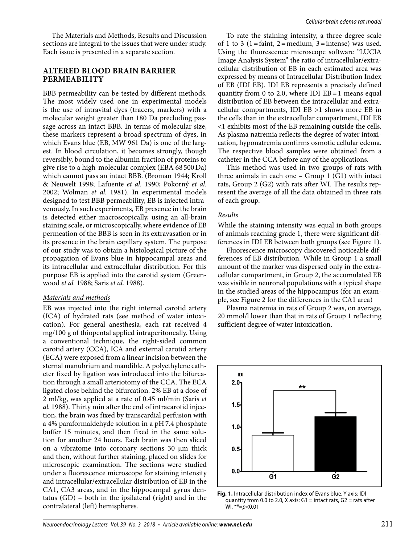The Materials and Methods, Results and Discussion sections are integral to the issues that were under study. Each issue is presented in a separate section.

#### **ALTERED BLOOD BRAIN BARRIER PERMEABILITY**

BBB permeability can be tested by different methods. The most widely used one in experimental models is the use of intravital dyes (tracers, markers) with a molecular weight greater than 180 Da precluding passage across an intact BBB. In terms of molecular size, these markers represent a broad spectrum of dyes, in which Evans blue (EB, MW 961 Da) is one of the largest. In blood circulation, it becomes strongly, though reversibly, bound to the albumin fraction of proteins to give rise to a high-molecular complex (EBA 68 500 Da) which cannot pass an intact BBB. (Broman 1944; Kroll & Neuwelt 1998; Lafuente *et al.* 1990; Pokorný *et al.*  2002; Wolman *et al.* 1981). In experimental models designed to test BBB permeability, EB is injected intravenously. In such experiments, EB presence in the brain is detected either macroscopically, using an all-brain staining scale, or microscopically, where evidence of EB permeation of the BBB is seen in its extravasation or in its presence in the brain capillary system. The purpose of our study was to obtain a histological picture of the propagation of Evans blue in hippocampal areas and its intracellular and extracellular distribution. For this purpose EB is applied into the carotid system (Greenwood *et al.* 1988; Saris *et al.* 1988).

#### *Materials and methods*

EB was injected into the right internal carotid artery (ICA) of hydrated rats (see method of water intoxication). For general anesthesia, each rat received 4 mg/100 g of thiopental applied intraperitoneally. Using a conventional technique, the right-sided common carotid artery (CCA), ICA and external carotid artery (ECA) were exposed from a linear incision between the sternal manubrium and mandible. A polyethylene catheter fixed by ligation was introduced into the bifurcation through a small arteriotomy of the CCA. The ECA ligated close behind the bifurcation. 2% EB at a dose of 2 ml/kg, was applied at a rate of 0.45 ml/min (Saris *et al.* 1988). Thirty min after the end of intracarotid injection, the brain was fixed by transcardial perfusion with a 4% paraformaldehyde solution in a pH 7.4 phosphate buffer 15 minutes, and then fixed in the same solution for another 24 hours. Each brain was then sliced on a vibratome into coronary sections 30 μm thick and then, without further staining, placed on slides for microscopic examination. The sections were studied under a fluorescence microscope for staining intensity and intracellular/extracellular distribution of EB in the CA1, CA3 areas, and in the hippocampal gyrus dentatus (GD) – both in the ipsilateral (right) and in the contralateral (left) hemispheres.

To rate the staining intensity, a three-degree scale of 1 to 3 (1 = faint, 2 = medium, 3 = intense) was used. Using the fluorescence microscope software "LUCIA Image Analysis System" the ratio of intracellular/extracellular distribution of EB in each estimated area was expressed by means of Intracellular Distribution Index of EB (IDI EB). IDI EB represents a precisely defined quantity from 0 to 2.0, where IDI  $EB = 1$  means equal distribution of EB between the intracellular and extracellular compartments, IDI EB >1 shows more EB in the cells than in the extracellular compartment, IDI EB <1 exhibits most of the EB remaining outside the cells. As plasma natremia reflects the degree of water intoxication, hyponatremia confirms osmotic cellular edema. The respective blood samples were obtained from a catheter in the CCA before any of the applications.

This method was used in two groups of rats with three animals in each one  $-$  Group 1 (G1) with intact rats, Group 2 (G2) with rats after WI. The results represent the average of all the data obtained in three rats of each group.

#### *Results*

While the staining intensity was equal in both groups of animals reaching grade 1, there were significant differences in IDI EB between both groups (see Figure 1).

Fluorescence microscopy discovered noticeable differences of EB distribution. While in Group 1 a small amount of the marker was dispersed only in the extracellular compartment, in Group 2, the accumulated EB was visible in neuronal populations with a typical shape in the studied areas of the hippocampus (for an example, see Figure 2 for the differences in the CA1 area)

Plasma natremia in rats of Group 2 was, on average, 20 mmol/l lower than that in rats of Group 1 reflecting sufficient degree of water intoxication.



**Fig. 1.** Intracellular distribution index of Evans blue. Y axis: IDI quantity from 0.0 to 2.0, X axis:  $G1 =$  intact rats,  $G2 =$  rats after WI,  $**=p<0.01$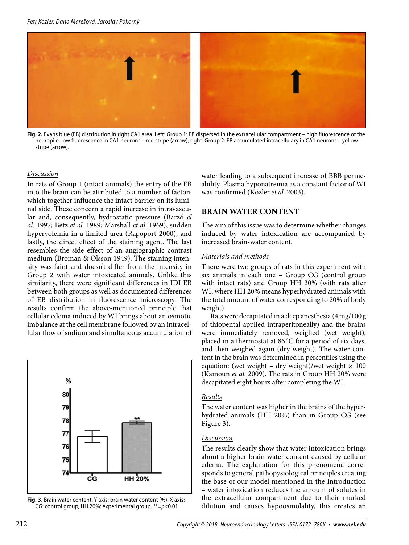

**Fig. 2.** Evans blue (EB) distribution in right CA1 area. Left: Group 1: EB dispersed in the extracellular compartment – high fluorescence of the neuropile, low fluorescence in CA1 neurons – red stripe (arrow); right: Group 2: EB accumulated intracellulary in CA1 neurons – yellow stripe (arrow).

#### *Discussion*

In rats of Group 1 (intact animals) the entry of the EB into the brain can be attributed to a number of factors which together influence the intact barrier on its luminal side. These concern a rapid increase in intravascular and, consequently, hydrostatic pressure (Barzó *el al*. 1997; Betz *et al.* 1989; Marshall *et al.* 1969), sudden hypervolemia in a limited area (Rapoport 2000), and lastly, the direct effect of the staining agent. The last resembles the side effect of an angiographic contrast medium (Broman & Olsson 1949). The staining intensity was faint and doesn't differ from the intensity in Group 2 with water intoxicated animals. Unlike this similarity, there were significant differences in IDI EB between both groups as well as documented differences of EB distribution in fluorescence microscopy. The results confirm the above-mentioned principle that cellular edema induced by WI brings about an osmotic imbalance at the cell membrane followed by an intracellular flow of sodium and simultaneous accumulation of



**Fig. 3.** Brain water content. Y axis: brain water content (%), X axis: CG: control group, HH 20%: experimental group, \*\*=p<0.01

water leading to a subsequent increase of BBB permeability. Plasma hyponatremia as a constant factor of WI was confirmed (Kozler *et al.* 2003).

## **BRAIN WATER CONTENT**

The aim of this issue was to determine whether changes induced by water intoxication are accompanied by increased brain-water content.

#### *Materials and methods*

There were two groups of rats in this experiment with six animals in each one – Group CG (control group with intact rats) and Group HH 20% (with rats after WI, where HH 20% means hyperhydrated animals with the total amount of water corresponding to 20% of body weight).

Rats were decapitated in a deep anesthesia (4 mg/100 g of thiopental applied intraperitoneally) and the brains were immediately removed, weighed (wet weight), placed in a thermostat at 86 °C for a period of six days, and then weighed again (dry weight). The water content in the brain was determined in percentiles using the equation: (wet weight – dry weight)/wet weight  $\times$  100 (Kamoun *et al.* 2009). The rats in Group HH 20% were decapitated eight hours after completing the WI.

#### *Results*

The water content was higher in the brains of the hyperhydrated animals (HH 20%) than in Group CG (see Figure 3).

#### *Discussion*

The results clearly show that water intoxication brings about a higher brain water content caused by cellular edema. The explanation for this phenomena corresponds to general pathopysiological principles creating the base of our model mentioned in the Introduction – water intoxication reduces the amount of solutes in the extracellular compartment due to their marked dilution and causes hypoosmolality, this creates an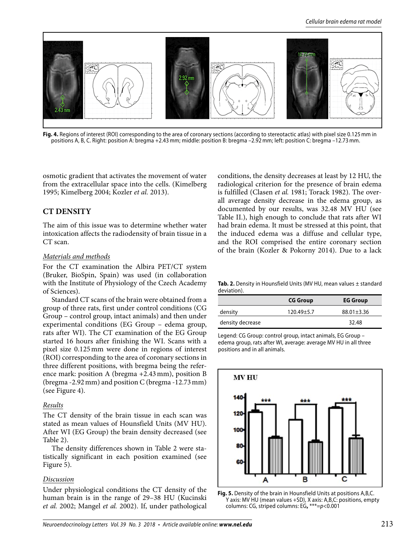

**Fig. 4.** Regions of interest (ROI) corresponding to the area of coronary sections (according to stereotactic atlas) with pixel size 0.125 mm in positions A, B, C. Right: position A: bregma +2.43 mm; middle: position B: bregma –2.92 mm; left: position C: bregma –12.73 mm.

osmotic gradient that activates the movement of water from the extracellular space into the cells. (Kimelberg 1995; Kimelberg 2004; Kozler *et al.* 2013).

## **CT DENSITY**

The aim of this issue was to determine whether water intoxication affects the radiodensity of brain tissue in a CT scan.

#### *Materials and methods*

For the CT examination the Albira PET/CT system (Bruker, BioSpin, Spain) was used (in collaboration with the Institute of Physiology of the Czech Academy of Sciences).

Standard CT scans of the brain were obtained from a group of three rats, first under control conditions (CG Group – control group, intact animals) and then under experimental conditions (EG Group – edema group, rats after WI). The CT examination of the EG Group started 16 hours after finishing the WI. Scans with a pixel size 0.125 mm were done in regions of interest (ROI) corresponding to the area of coronary sections in three different positions, with bregma being the reference mark: position A (bregma +2.43 mm), position B (bregma -2.92 mm) and position C (bregma -12.73 mm) (see Figure 4).

#### *Results*

The CT density of the brain tissue in each scan was stated as mean values of Hounsfield Units (MV HU). After WI (EG Group) the brain density decreased (see Table 2).

The density differences shown in Table 2 were statistically significant in each position examined (see Figure 5).

#### *Discussion*

Under physiological conditions the CT density of the human brain is in the range of 29–38 HU (Kucinski *et al.* 2002; Mangel *et al.* 2002). If, under pathological

conditions, the density decreases at least by 12 HU, the radiological criterion for the presence of brain edema is fulfilled (Clasen *et al.* 1981; Torack 1982). The overall average density decrease in the edema group, as documented by our results, was 32.48 MV HU (see Table II.), high enough to conclude that rats after WI had brain edema. It must be stressed at this point, that the induced edema was a diffuse and cellular type, and the ROI comprised the entire coronary section of the brain (Kozler & Pokorny 2014). Due to a lack

**Tab. 2.** Density in Hounsfield Units (MV HU, mean values ± standard deviation).

|                  | <b>CG Group</b> | <b>EG Group</b>  |
|------------------|-----------------|------------------|
| density          | $120.49 + 5.7$  | $88.01 \pm 3.36$ |
| density decrease |                 | 32.48            |

Legend: CG Group: control group, intact animals, EG Group – edema group, rats after WI, average: average MV HU in all three positions and in all animals.



**Fig. 5.** Density of the brain in Hounsfield Units at positions A,B,C. Y axis: MV HU (mean values +SD), X axis: A,B,C: positions, empty columns: CG, striped columns: EG**,** \*\*\*=p<0.001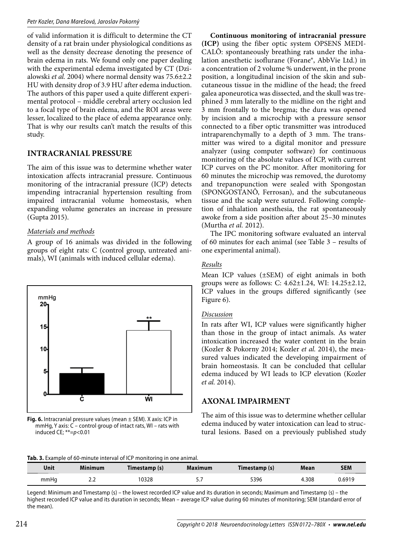of valid information it is difficult to determine the CT density of a rat brain under physiological conditions as well as the density decrease denoting the presence of brain edema in rats. We found only one paper dealing with the experimental edema investigated by CT (Dzialowski *et al.* 2004) where normal density was 75.6±2.2 HU with density drop of 3.9 HU after edema induction. The authors of this paper used a quite different experimental protocol – middle cerebral artery occlusion led to a focal type of brain edema, and the ROI areas were lesser, localized to the place of edema appearance only. That is why our results can't match the results of this study.

# **INTRACRANIAL PRESSURE**

The aim of this issue was to determine whether water intoxication affects intracranial pressure. Continuous monitoring of the intracranial pressure (ICP) detects impending intracranial hypertension resulting from impaired intracranial volume homeostasis, when expanding volume generates an increase in pressure (Gupta 2015).

## *Materials and methods*

A group of 16 animals was divided in the following groups of eight rats: C (control group, untreated animals), WI (animals with induced cellular edema).



**Fig. 6.** Intracranial pressure values (mean ± SEM). X axis: ICP in mmHg, Y axis: C – control group of intact rats, WI – rats with induced CE;  $**=p<0.01$ 

**Continuous monitoring of intracranial pressure (ICP)** using the fiber optic system OPSENS MEDI-CALÔ: spontaneously breathing rats under the inhalation anesthetic isoflurane (Forane®, AbbVie Ltd.) in a concentration of 2 volume % underwent, in the prone position, a longitudinal incision of the skin and subcutaneous tissue in the midline of the head; the freed galea aponeurotica was dissected, and the skull was trephined 3 mm laterally to the midline on the right and 3 mm frontally to the bregma; the dura was opened by incision and a microchip with a pressure sensor connected to a fiber optic transmitter was introduced intraparenchymally to a depth of 3 mm. The transmitter was wired to a digital monitor and pressure analyzer (using computer software) for continuous monitoring of the absolute values of ICP, with current ICP curves on the PC monitor. After monitoring for 60 minutes the microchip was removed, the durotomy and trepanopunction were sealed with Spongostan (SPONGOSTANÔ, Ferrosan), and the subcutaneous tissue and the scalp were sutured. Following completion of inhalation anesthesia, the rat spontaneously awoke from a side position after about 25–30 minutes (Murtha *et al.* 2012).

The IPC monitoring software evaluated an interval of 60 minutes for each animal (see Table 3 – results of one experimental animal).

## *Results*

Mean ICP values (±SEM) of eight animals in both groups were as follows: C: 4.62±1.24, WI: 14.25±2.12, ICP values in the groups differed significantly (see Figure 6).

## *Discussion*

In rats after WI, ICP values were significantly higher than those in the group of intact animals. As water intoxication increased the water content in the brain (Kozler & Pokorny 2014; Kozler *et al.* 2014), the measured values indicated the developing impairment of brain homeostasis. It can be concluded that cellular edema induced by WI leads to ICP elevation (Kozler *et al.* 2014).

# **AXONAL IMPAIRMENT**

The aim of this issue was to determine whether cellular edema induced by water intoxication can lead to structural lesions. Based on a previously published study

| Tab. 3. Example of 60-minute interval of ICP monitoring in one animal. |  |  |
|------------------------------------------------------------------------|--|--|
|                                                                        |  |  |

| Unit | <b>Minimum</b> | Timestamp (s) | Maximum   | Timestamp (s) | Mean  | SEM    |
|------|----------------|---------------|-----------|---------------|-------|--------|
| mmHg | ے، ے           | 0328          | <u>.,</u> | 5396          | 4.308 | 0.6919 |

Legend: Minimum and Timestamp (s) – the lowest recorded ICP value and its duration in seconds; Maximum and Timestamp (s) – the highest recorded ICP value and its duration in seconds; Mean – average ICP value during 60 minutes of monitoring; SEM (standard error of the mean).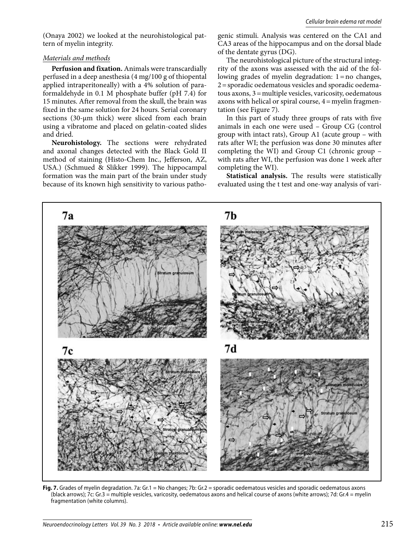(Onaya 2002) we looked at the neurohistological pattern of myelin integrity.

#### *Materials and methods*

**Perfusion and fixation.** Animals were transcardially perfused in a deep anesthesia (4 mg/100 g of thiopental applied intraperitoneally) with a 4% solution of paraformaldehyde in 0.1 M phosphate buffer (pH 7.4) for 15 minutes. After removal from the skull, the brain was fixed in the same solution for 24 hours. Serial coronary sections (30-μm thick) were sliced from each brain using a vibratome and placed on gelatin-coated slides and dried.

**Neurohistology.** The sections were rehydrated and axonal changes detected with the Black Gold II method of staining (Histo-Chem Inc., Jefferson, AZ, USA.) (Schmued & Slikker 1999). The hippocampal formation was the main part of the brain under study because of its known high sensitivity to various pathogenic stimuli. Analysis was centered on the CA1 and CA3 areas of the hippocampus and on the dorsal blade of the dentate gyrus (DG).

The neurohistological picture of the structural integrity of the axons was assessed with the aid of the following grades of myelin degradation: 1 = no changes, 2 = sporadic oedematous vesicles and sporadic oedematous axons, 3 = multiple vesicles, varicosity, oedematous axons with helical or spiral course, 4 = myelin fragmentation (see Figure 7).

In this part of study three groups of rats with five animals in each one were used – Group CG (control group with intact rats), Group A1 (acute group – with rats after WI; the perfusion was done 30 minutes after completing the WI) and Group C1 (chronic group – with rats after WI, the perfusion was done 1 week after completing the WI).

**Statistical analysis.** The results were statistically evaluated using the t test and one-way analysis of vari-



**Fig. 7.** Grades of myelin degradation. 7a: Gr.1 = No changes; 7b: Gr.2 = sporadic oedematous vesicles and sporadic oedematous axons (black arrows); 7c: Gr.3 = multiple vesicles, varicosity, oedematous axons and helical course of axons (white arrows); 7d: Gr.4 = myelin fragmentation (white columns).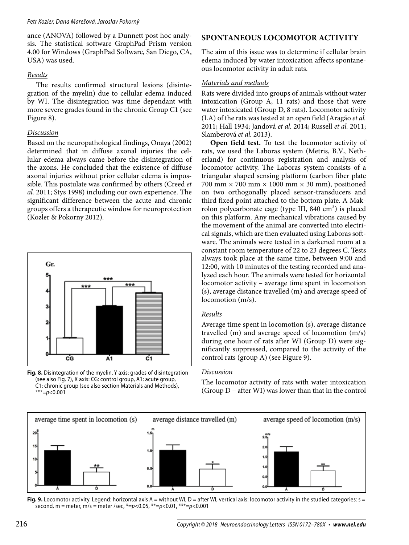ance (ANOVA) followed by a Dunnett post hoc analysis. The statistical software GraphPad Prism version 4.00 for Windows (GraphPad Software, San Diego, CA, USA) was used.

## *Results*

The results confirmed structural lesions (disintegration of the myelin) due to cellular edema induced by WI. The disintegration was time dependant with more severe grades found in the chronic Group C1 (see Figure 8).

## *Discussion*

Based on the neuropathological findings, Onaya (2002) determined that in diffuse axonal injuries the cellular edema always came before the disintegration of the axons. He concluded that the existence of diffuse axonal injuries without prior cellular edema is impossible. This postulate was confirmed by others (Creed *et al.* 2011; Stys 1998) including our own experience. The significant difference between the acute and chronic groups offers a therapeutic window for neuroprotection (Kozler & Pokorny 2012).



**Fig. 8.** Disintegration of the myelin. Y axis: grades of disintegration (see also Fig. 7), X axis: CG: control group, A1: acute group, C1: chronic group (see also section Materials and Methods), \*\*\*= $p < 0.001$ 

# **SPONTANEOUS LOCOMOTOR ACTIVITY**

The aim of this issue was to determine if cellular brain edema induced by water intoxication affects spontaneous locomotor activity in adult rats.

# *Materials and methods*

Rats were divided into groups of animals without water intoxication (Group  $\overline{A}$ , 11 rats) and those that were water intoxicated (Group D, 8 rats). Locomotor activity (LA) of the rats was tested at an open field (Aragão *et al.*  2011; Hall 1934; Jandová *et al.* 2014; Russell *et al.* 2011; Slamberová *et al.* 2013).

**Open field test.** To test the locomotor activity of rats, we used the Laboras system (Metris, B.V., Netherland) for continuous registration and analysis of locomotor activity. The Laboras system consists of a triangular shaped sensing platform (carbon fiber plate 700 mm  $\times$  700 mm  $\times$  1000 mm  $\times$  30 mm), positioned on two orthogonally placed sensor-transducers and third fixed point attached to the bottom plate. A Makrolon polycarbonate cage (type III, 840 cm²) is placed on this platform. Any mechanical vibrations caused by the movement of the animal are converted into electrical signals, which are then evaluated using Laboras software. The animals were tested in a darkened room at a constant room temperature of 22 to 23 degrees C. Tests always took place at the same time, between 9:00 and 12:00, with 10 minutes of the testing recorded and analyzed each hour. The animals were tested for horizontal locomotor activity – average time spent in locomotion (s), average distance travelled (m) and average speed of locomotion (m/s).

## *Results*

Average time spent in locomotion (s), average distance travelled (m) and average speed of locomotion (m/s) during one hour of rats after WI (Group D) were significantly suppressed, compared to the activity of the control rats (group A) (see Figure 9).

## *Discussion*

The locomotor activity of rats with water intoxication (Group D – after WI) was lower than that in the control



Fig. 9. Locomotor activity. Legend: horizontal axis A = without WI, D = after WI, vertical axis: locomotor activity in the studied categories: s = second, m = meter, m/s = meter /sec, \*=p<0.05, \*\*=p<0.01, \*\*\*=p<0.001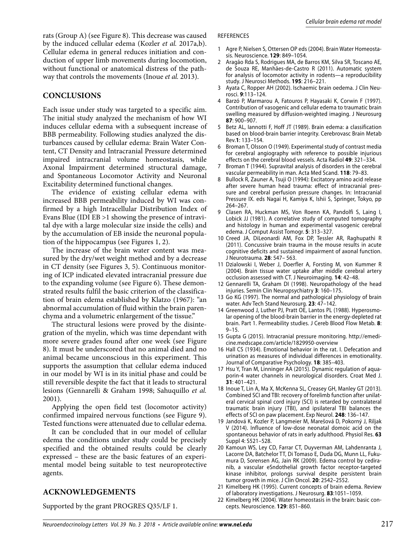rats (Group A) (see Figure 8). This decrease was caused by the induced cellular edema (Kozler *et al.* 2017a,b). Cellular edema in general reduces initiation and conduction of upper limb movements during locomotion, without functional or anatomical distress of the pathway that controls the movements (Inoue *et al.* 2013).

## **CONCLUSIONS**

Each issue under study was targeted to a specific aim. The initial study analyzed the mechanism of how WI induces cellular edema with a subsequent increase of BBB permeability. Following studies analyzed the disturbances caused by cellular edema: Brain Water Content, CT Density and Intracranial Pressure determined impaired intracranial volume homeostasis, while Axonal Impairment determined structural damage, and Spontaneous Locomotor Activity and Neuronal Excitability determined functional changes.

The evidence of existing cellular edema with increased BBB permeability induced by WI was confirmed by a high Intracellular Distribution Index of Evans Blue (IDI EB >1 showing the presence of intravital dye with a large molecular size inside the cells) and by the accumulation of EB inside the neuronal population of the hippocampus (see Figures 1, 2).

The increase of the brain water content was measured by the dry/wet weight method and by a decrease in CT density (see Figures 3, 5). Continuous monitoring of ICP indicated elevated intracranial pressure due to the expanding volume (see Figure 6). These demonstrated results fulfil the basic criterion of the classification of brain edema established by Klatzo (1967): "an abnormal accumulation of fluid within the brain parenchyma and a volumetric enlargement of the tissue."

The structural lesions were proved by the disintegration of the myelin, which was time dependant with more severe grades found after one week (see Figure 8). It must be underscored that no animal died and no animal became unconscious in this experiment. This supports the assumption that cellular edema induced in our model by WI is in its initial phase and could be still reversible despite the fact that it leads to structural lesions (Gennarelli & Graham 1998; Sahuquillo *et al.*  2001).

Applying the open field test (locomotor activity) confirmed impaired nervous functions (see Figure 9). Tested functions were attenuated due to cellular edema.

It can be concluded that in our model of cellular edema the conditions under study could be precisely specified and the obtained results could be clearly expressed – these are the basic features of an experimental model being suitable to test neuroprotective agents.

## **ACKNOWLEDGEMENTS**

Supported by the grant PROGRES Q35/LF 1.

#### REFERENCES

- Agre P, Nielsen S, Ottersen OP eds (2004). Brain Water Homeostasis. Neuroscience. **129**: 849–1054.
- 2 Aragão Rda S, Rodrigues MA, de Barros KM, Silva SR, Toscano AE, de Souza RE, Manhães-de-Castro R (2011). Automatic system for analysis of locomotor activity in rodents—a reproducibility study. J Neurosci Methods. **195**: 216–221.
- 3 Ayata C, Ropper AH (2002). Ischaemic brain oedema. J Clin Neurosci. **9**:113–124.
- Barzó P, Marmarou A, Fatouros P, Hayasaki K, Corwin F (1997). Contribution of vasogenic and cellular edema to traumatic brain swelling measured by diffusion-weighted imaging. J Neurosurg **87**: 900–907.
- 5 Betz AL, Iannotti F, Hoff JT (1989). Brain edema: a classification based on blood-brain barrier integrity. Cerebrovasc Brain Metab Rev.**1**: 133–154.
- 6 Broman T, Olsson O (1949). Experimental study of contrast media for cerebral angiography with reference to possible injurious effects on the cerebral blood vessels. Acta Radiol **49**: 321–334.
- 7 Broman T (1944). Supravital analysis of disorders in the cerebral vascular permeability in man. Acta Med Scand. **118**: 79–83.
- 8 Bullock R, Zauner A, Tsuji O (1994): Excitatory amino acid release after severe human head trauma: effect of intracranial pressure and cerebral perfusion pressure changes. In: Intracranial Pressure IX. eds Nagai H, Kamiya K, Ishii S, Springer, Tokyo, pp 264–267.
- 9 Clasen RA, Huckman MS, Von Roenn KA, Pandolfi S, Laing I, Lobick JJ (1981). A correlative study of computed tomography and histology in human and experimental vasogenic cerebral edema. J Comput Assist Tomogr. **5**: 313–327.
- 10 Creed JA, DiLeonardi AM, Fox DP, Tessler AR, Raghupathi R (2011). Concussive brain trauma in the mouse results in acute cognitive deficits and sustained impairment of axonal function. J Neurotrauma. **28**: 547– 563.
- 11 Dzialowski I, Weber J, Doerfler A, Forsting M, von Kummer R (2004). Brain tissue water uptake after middle cerebral artery occlusion assessed with CT. J Neuroimaging. **14**: 42–48.
- 12 Gennarelli TA, Graham DI (1998). Neuropathology of the head injuries. Semin Clin Neuropsychiatry **3**: 160–175.
- 13 Go KG (1997). The normal and pathological physiology of brain water. Adv Tech Stand Neurosurg. **23**: 47–142.
- 14 Greenwood J, Luther PJ, Pratt OE, Lantos PL (1988). Hyperosmolar opening of the blood-brain barrier in the energy-depleted rat brain. Part 1. Permeability studies. J Cereb Blood Flow Metab. **8**:  $9 - 15.$
- 15 Gupta G (2015). Intracranial pressure monitoring. http://emedicine.medscape.com/article/1829950-overview
- 16 Hall CS (1934). Emotional behavior in the rat. I. Defecation and urination as measures of individual differences in emotionality. Journal of Comparative Psychology. **18**: 385–403.
- 17 Hsu Y, Tran M, Linninger AA (2015). Dynamic regulation of aquaporin-4 water channels in neurological disorders. Croat Med J. **31**: 401–421.
- 18 Inoue T, Lin A, Ma X, McKenna SL, Creasey GH, Manley GT (2013). Combined SCI and TBI: recovery of forelimb function after unilateral cervical spinal cord injury (SCI) is retarded by contralateral traumatic brain injury (TBI), and ipsilateral TBI balances the effects of SCI on paw placement. Exp Neurol. **248**: 136–147.
- 19 Jandová K, Kozler P, Langmeier M, Marešová D, Pokorný J, Riljak V (2014). Influence of low-dose neonatal domoic acid on the spontaneous behavior of rats in early adulthood. Physiol Res. **63** Suppl 4: S521–528.
- 20 Kamoun WS, Ley CD, Farrar CT, Duyverman AM, Lahdenranta J, Lacorre DA, Batchelor TT, Di Tomaso E, Duda DG, Munn LL, Fukumura D, Sorensen AG, Jain RK (2009). Edema control by cediranib, a vascular eSndothelial growth factor receptor-targeted kinase inhibitor, prolongs survival despite persistent brain tumor growth in mice. J Clin Oncol. **20**: 2542–2552.
- 21 Kimelberg HK (1995). Current concepts of brain edema. Review of laboratory investigations. J Neurosurg. **83**:1051–1059.
- 22 Kimelberg HK (2004). Water homeostasis in the brain: basic concepts. Neuroscience. **129**: 851–860.